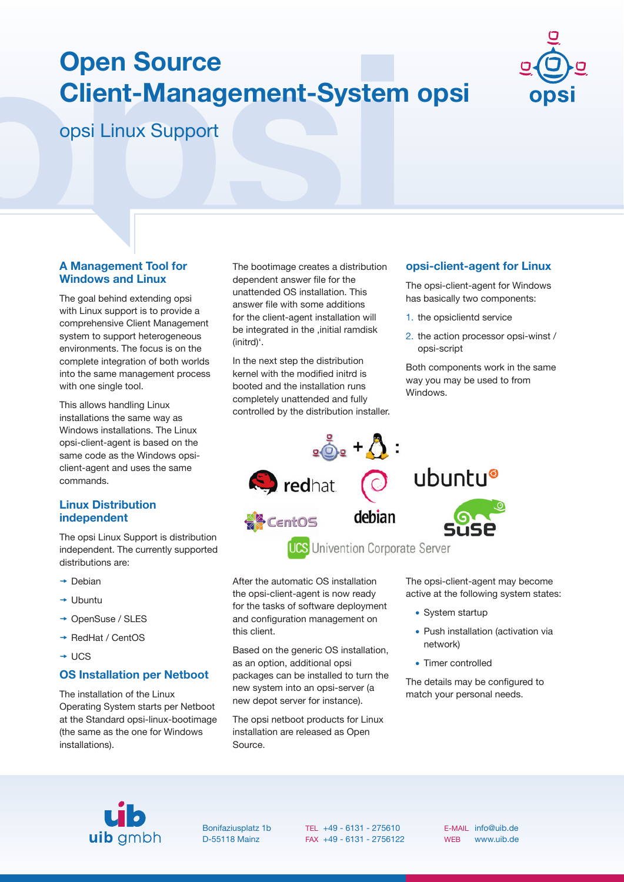# **Open Source Client-Management-System opsi**



opsi Linux Support

### **A Management Tool for Windows and Linux**

The goal behind extending opsi with Linux support is to provide a comprehensive Client Management system to support heterogeneous environments. The focus is on the complete integration of both worlds into the same management process with one single tool.

This allows handling Linux installations the same way as Windows installations. The Linux opsi-client-agent is based on the same code as the Windows opsiclient-agent and uses the same commands.

# **Linux Distribution independent**

The opsi Linux Support is distribution independent. The currently supported distributions are:

- $\rightarrow$  Debian
- $\rightarrow$  Ubuntu
- **→ OpenSuse / SLES**
- **→ RedHat / CentOS**
- $+$  UCS

# **OS Installation per Netboot**

The installation of the Linux Operating System starts per Netboot at the Standard opsi-linux-bootimage (the same as the one for Windows installations).

The bootimage creates a distribution dependent answer file for the unattended OS installation. This answer file with some additions for the client-agent installation will be integrated in the , initial ramdisk (initrd)'.

In the next step the distribution kernel with the modified initrd is booted and the installation runs completely unattended and fully controlled by the distribution installer.

## **opsi-client-agent for Linux**

The opsi-client-agent for Windows has basically two components:

- 1. the opsiclientd service
- 2. the action processor opsi-winst / opsi-script

Both components work in the same way you may be used to from Windows.



**UCS** Univention Corporate Server

After the automatic OS installation the opsi-client-agent is now ready for the tasks of software deployment and configuration management on this client.

Based on the generic OS installation, as an option, additional opsi packages can be installed to turn the new system into an opsi-server (a new depot server for instance).

The opsi netboot products for Linux installation are released as Open Source.

The opsi-client-agent may become active at the following system states:

- System startup
- Push installation (activation via network)
- Timer controlled

The details may be configured to match your personal needs.



Bonifaziusplatz 1b D-55118 Mainz

TEL +49 - 6131 - 275610 FAX +49 - 6131 - 2756122 E-MAIL info@uib.de WEB www.uib.de